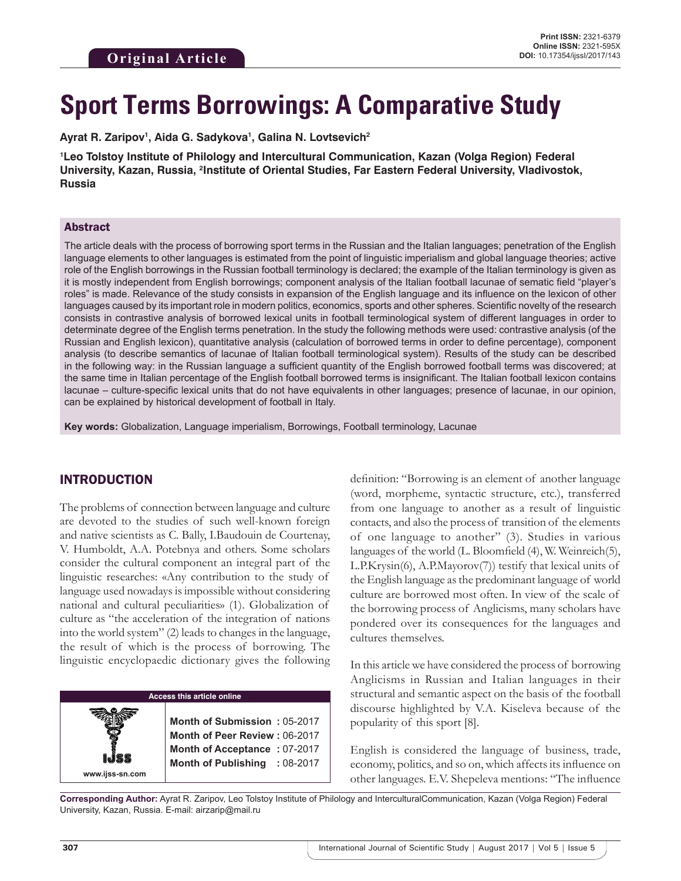# **Sport Terms Borrowings: A Comparative Study**

Ayrat R. Zaripov<sup>ı</sup>, Aida G. Sadykova<sup>ı</sup>, Galina N. Lovtsevich<sup>2</sup>

**1 Leo Tolstoy Institute of Philology and Intercultural Communication, Kazan (Volga Region) Federal**  University, Kazan, Russia, <sup>2</sup>Institute of Oriental Studies, Far Eastern Federal University, Vladivostok, **Russia**

#### Abstract

The article deals with the process of borrowing sport terms in the Russian and the Italian languages; penetration of the English language elements to other languages is estimated from the point of linguistic imperialism and global language theories; active role of the English borrowings in the Russian football terminology is declared; the example of the Italian terminology is given as it is mostly independent from English borrowings; component analysis of the Italian football lacunae of sematic field "player's roles" is made. Relevance of the study consists in expansion of the English language and its influence on the lexicon of other languages caused by its important role in modern politics, economics, sports and other spheres. Scientific novelty of the research consists in contrastive analysis of borrowed lexical units in football terminological system of different languages in order to determinate degree of the English terms penetration. In the study the following methods were used: contrastive analysis (of the Russian and English lexicon), quantitative analysis (calculation of borrowed terms in order to define percentage), component analysis (to describe semantics of lacunae of Italian football terminological system). Results of the study can be described in the following way: in the Russian language a sufficient quantity of the English borrowed football terms was discovered; at the same time in Italian percentage of the English football borrowed terms is insignificant. The Italian football lexicon contains lacunae – culture-specific lexical units that do not have equivalents in other languages; presence of lacunae, in our opinion, can be explained by historical development of football in Italy.

**Key words:** Globalization, Language imperialism, Borrowings, Football terminology, Lacunae

### INTRODUCTION

The problems of connection between language and culture are devoted to the studies of such well-known foreign and native scientists as C. Bally, I.Baudouin de Courtenay, V. Humboldt, A.A. Potebnya and others. Some scholars consider the cultural component an integral part of the linguistic researches: «Any contribution to the study of language used nowadays is impossible without considering national and cultural peculiarities» (1). Globalization of culture as "the acceleration of the integration of nations into the world system" (2) leads to changes in the language, the result of which is the process of borrowing. The linguistic encyclopaedic dictionary gives the following

#### **Access this article online**

**Month of Submission :** 05-2017 **Month of Peer Review :** 06-2017 **Month of Acceptance :** 07-2017 **Month of Publishing :** 08-2017 definition: "Borrowing is an element of another language (word, morpheme, syntactic structure, etc.), transferred from one language to another as a result of linguistic contacts, and also the process of transition of the elements of one language to another" (3). Studies in various languages of the world (L. Bloomfield (4), W. Weinreich(5), L.P.Krysin(6), A.P.Mayorov(7)) testify that lexical units of the English language as the predominant language of world culture are borrowed most often. In view of the scale of the borrowing process of Anglicisms, many scholars have pondered over its consequences for the languages and cultures themselves.

In this article we have considered the process of borrowing Anglicisms in Russian and Italian languages in their structural and semantic aspect on the basis of the football discourse highlighted by V.A. Kiseleva because of the popularity of this sport [8].

English is considered the language of business, trade, economy, politics, and so on, which affects its influence on other languages. E.V. Shepeleva mentions: "The influence

**Corresponding Author:** Ayrat R. Zaripov, Leo Tolstoy Institute of Philology and InterculturalCommunication, Kazan (Volga Region) Federal University, Kazan, Russia. E-mail: airzarip@mail.ru

**www.ijss-sn.com**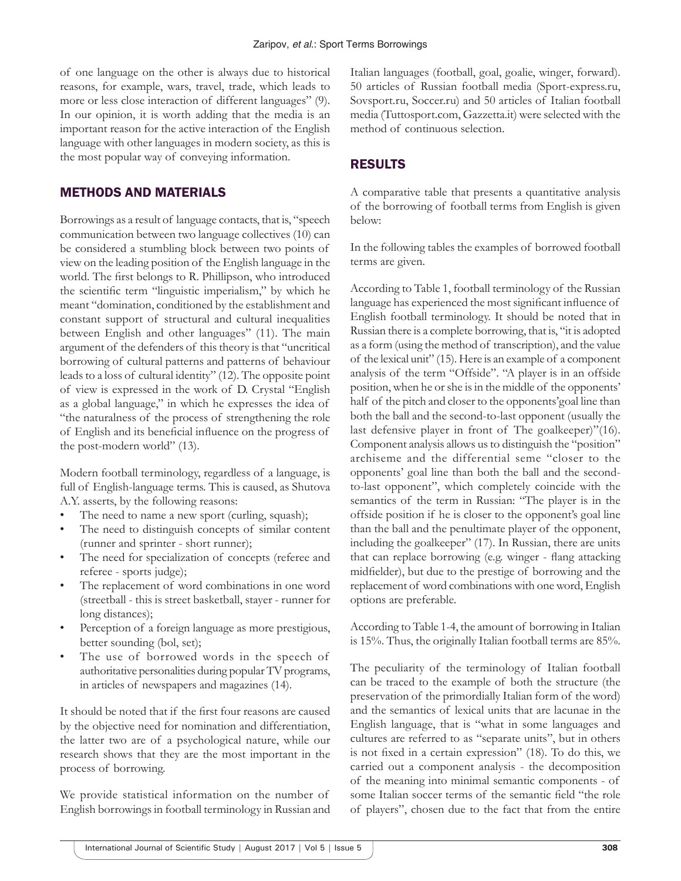of one language on the other is always due to historical reasons, for example, wars, travel, trade, which leads to more or less close interaction of different languages" (9). In our opinion, it is worth adding that the media is an important reason for the active interaction of the English language with other languages in modern society, as this is the most popular way of conveying information.

## METHODS AND MATERIALS

Borrowings as a result of language contacts, that is, "speech communication between two language collectives (10) can be considered a stumbling block between two points of view on the leading position of the English language in the world. The first belongs to R. Phillipson, who introduced the scientific term "linguistic imperialism," by which he meant "domination, conditioned by the establishment and constant support of structural and cultural inequalities between English and other languages" (11). The main argument of the defenders of this theory is that "uncritical borrowing of cultural patterns and patterns of behaviour leads to a loss of cultural identity" (12). The opposite point of view is expressed in the work of D. Crystal "English as a global language," in which he expresses the idea of "the naturalness of the process of strengthening the role of English and its beneficial influence on the progress of the post-modern world" (13).

Modern football terminology, regardless of a language, is full of English-language terms. This is caused, as Shutova A.Y. asserts, by the following reasons:

- The need to name a new sport (curling, squash);
- The need to distinguish concepts of similar content (runner and sprinter - short runner);
- The need for specialization of concepts (referee and referee - sports judge);
- The replacement of word combinations in one word (streetball - this is street basketball, stayer - runner for long distances);
- Perception of a foreign language as more prestigious, better sounding (bol, set);
- The use of borrowed words in the speech of authoritative personalities during popular TV programs, in articles of newspapers and magazines (14).

It should be noted that if the first four reasons are caused by the objective need for nomination and differentiation, the latter two are of a psychological nature, while our research shows that they are the most important in the process of borrowing.

We provide statistical information on the number of English borrowings in football terminology in Russian and Italian languages (football, goal, goalie, winger, forward). 50 articles of Russian football media (Sport-express.ru, Sovsport.ru, Soccer.ru) and 50 articles of Italian football media (Tuttosport.com, Gazzetta.it) were selected with the method of continuous selection.

## RESULTS

A comparative table that presents a quantitative analysis of the borrowing of football terms from English is given below:

In the following tables the examples of borrowed football terms are given.

According to Table 1, football terminology of the Russian language has experienced the most significant influence of English football terminology. It should be noted that in Russian there is a complete borrowing, that is, "it is adopted as a form (using the method of transcription), and the value of the lexical unit" (15). Here is an example of a component analysis of the term "Offside". "A player is in an offside position, when he or she is in the middle of the opponents' half of the pitch and closer to the opponents'goal line than both the ball and the second-to-last opponent (usually the last defensive player in front of The goalkeeper)"(16). Component analysis allows us to distinguish the "position" archiseme and the differential seme "closer to the opponents' goal line than both the ball and the secondto-last opponent", which completely coincide with the semantics of the term in Russian: "The player is in the offside position if he is closer to the opponent's goal line than the ball and the penultimate player of the opponent, including the goalkeeper" (17). In Russian, there are units that can replace borrowing (e.g. winger - flang attacking midfielder), but due to the prestige of borrowing and the replacement of word combinations with one word, English options are preferable.

According to Table 1-4, the amount of borrowing in Italian is 15%. Thus, the originally Italian football terms are 85%.

The peculiarity of the terminology of Italian football can be traced to the example of both the structure (the preservation of the primordially Italian form of the word) and the semantics of lexical units that are lacunae in the English language, that is "what in some languages and cultures are referred to as "separate units", but in others is not fixed in a certain expression" (18). To do this, we carried out a component analysis - the decomposition of the meaning into minimal semantic components - of some Italian soccer terms of the semantic field "the role of players", chosen due to the fact that from the entire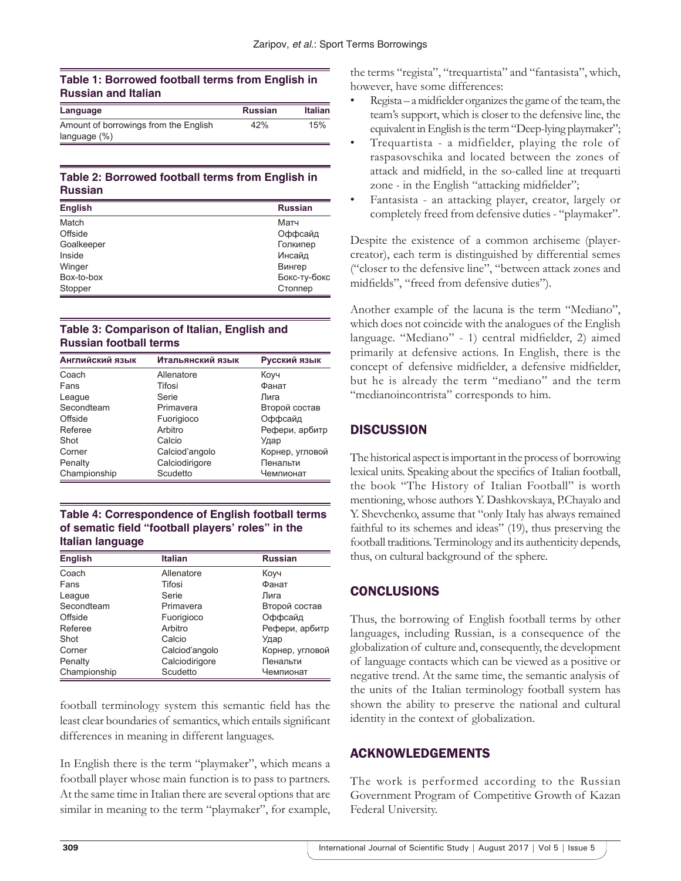#### **Table 1: Borrowed football terms from English in Russian and Italian**

| Language                              | <b>Russian</b> | <b>Italian</b> |
|---------------------------------------|----------------|----------------|
| Amount of borrowings from the English | 42%            | 15%            |
| language $(\%)$                       |                |                |

#### **Table 2: Borrowed football terms from English in Russian**

| <b>English</b><br><b>Russian</b> |              |
|----------------------------------|--------------|
| Match                            | Матч         |
| Offside                          | Оффсайд      |
| Goalkeeper                       | Голкипер     |
| Inside                           | Инсайд       |
| Winger                           | Вингер       |
| Box-to-box                       | Бокс-ту-бокс |
| Stopper                          | Стоппер      |

#### **Table 3: Comparison of Italian, English and Russian football terms**

| Английский язык | Итальянский язык | Русский язык    |
|-----------------|------------------|-----------------|
| Coach           | Allenatore       | Коуч            |
| Fans            | Tifosi           | Фанат           |
| League          | Serie            | Лига            |
| Secondteam      | Primavera        | Второй состав   |
| Offside         | Fuorigioco       | Оффсайд         |
| Referee         | Arbitro          | Рефери, арбитр  |
| Shot            | Calcio           | Удар            |
| Corner          | Calciod'angolo   | Корнер, угловой |
| Penalty         | Calciodirigore   | Пенальти        |
| Championship    | Scudetto         | Чемпионат       |

#### **Table 4: Correspondence of English football terms of sematic field "football players' roles" in the Italian language**

| <b>English</b> | <b>Italian</b> | <b>Russian</b>  |
|----------------|----------------|-----------------|
| Coach          | Allenatore     | Коуч            |
| Fans           | Tifosi         | Фанат           |
| League         | Serie          | Лига            |
| Secondteam     | Primavera      | Второй состав   |
| Offside        | Fuorigioco     | Оффсайд         |
| Referee        | Arbitro        | Рефери, арбитр  |
| Shot           | Calcio         | Удар            |
| Corner         | Calciod'angolo | Корнер, угловой |
| Penalty        | Calciodirigore | Пенальти        |
| Championship   | Scudetto       | Чемпионат       |

football terminology system this semantic field has the least clear boundaries of semantics, which entails significant differences in meaning in different languages.

In English there is the term "playmaker", which means a football player whose main function is to pass to partners. At the same time in Italian there are several options that are similar in meaning to the term "playmaker", for example, the terms "regista", "trequartista" and "fantasista", which, however, have some differences:

- Regista a midfielder organizes the game of the team, the team's support, which is closer to the defensive line, the equivalent in English is the term "Deep-lying playmaker";
- Trequartista a midfielder, playing the role of raspasovschika and located between the zones of attack and midfield, in the so-called line at trequarti zone - in the English "attacking midfielder";
- Fantasista an attacking player, creator, largely or completely freed from defensive duties - "playmaker".

Despite the existence of a common archiseme (playercreator), each term is distinguished by differential semes ("closer to the defensive line", "between attack zones and midfields", "freed from defensive duties").

Another example of the lacuna is the term "Mediano", which does not coincide with the analogues of the English language. "Mediano" - 1) central midfielder, 2) aimed primarily at defensive actions. In English, there is the concept of defensive midfielder, a defensive midfielder, but he is already the term "mediano" and the term "medianoincontrista" corresponds to him.

# **DISCUSSION**

The historical aspect is important in the process of borrowing lexical units. Speaking about the specifics of Italian football, the book "The History of Italian Football" is worth mentioning, whose authors Y. Dashkovskaya, P.Chayalo and Y. Shevchenko, assume that "only Italy has always remained faithful to its schemes and ideas" (19), thus preserving the football traditions. Terminology and its authenticity depends, thus, on cultural background of the sphere.

# **CONCLUSIONS**

Thus, the borrowing of English football terms by other languages, including Russian, is a consequence of the globalization of culture and, consequently, the development of language contacts which can be viewed as a positive or negative trend. At the same time, the semantic analysis of the units of the Italian terminology football system has shown the ability to preserve the national and cultural identity in the context of globalization.

## ACKNOWLEDGEMENTS

The work is performed according to the Russian Government Program of Competitive Growth of Kazan Federal University.